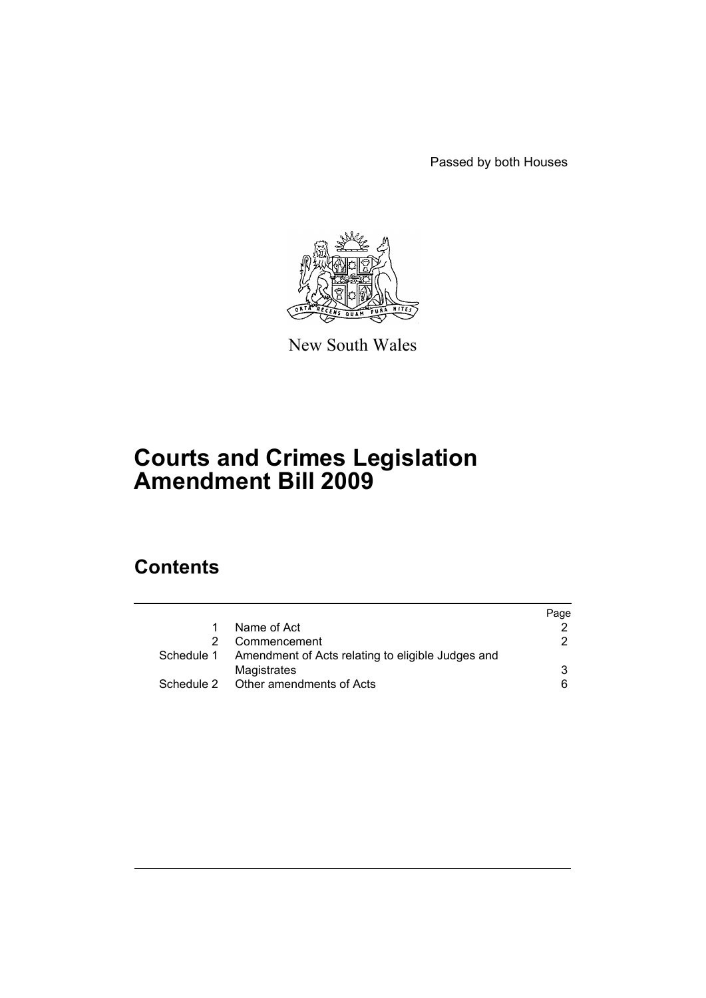Passed by both Houses



New South Wales

# **Courts and Crimes Legislation Amendment Bill 2009**

# **Contents**

|  |                                                              | Page |
|--|--------------------------------------------------------------|------|
|  | Name of Act                                                  |      |
|  | Commencement                                                 | 2.   |
|  | Schedule 1 Amendment of Acts relating to eligible Judges and |      |
|  | Magistrates                                                  | 3    |
|  | Schedule 2 Other amendments of Acts                          | 6    |
|  |                                                              |      |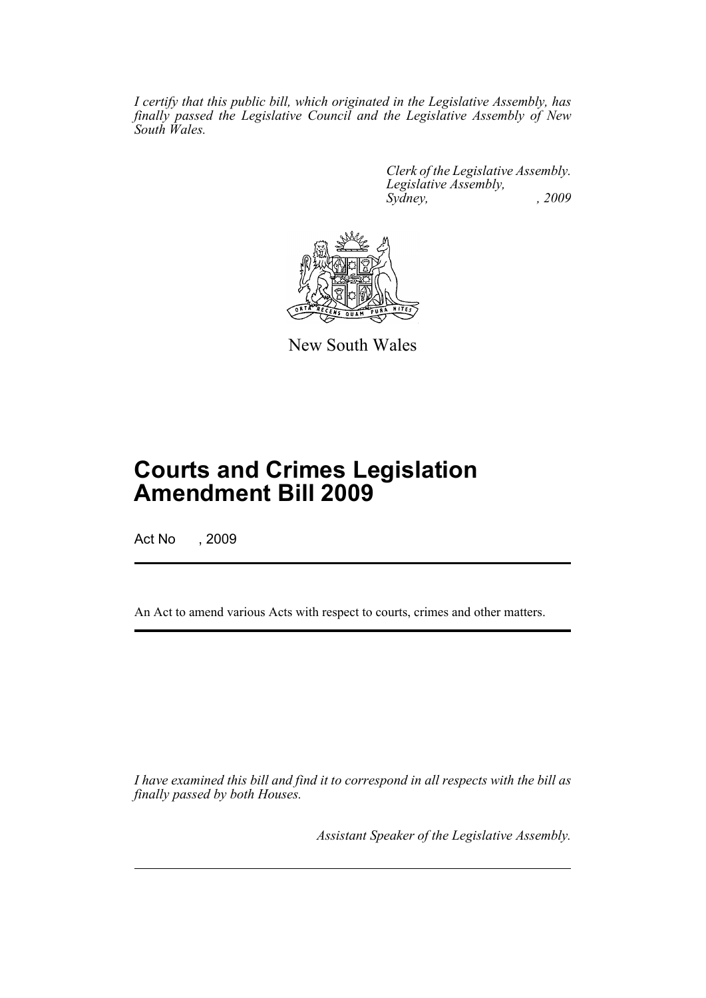*I certify that this public bill, which originated in the Legislative Assembly, has finally passed the Legislative Council and the Legislative Assembly of New South Wales.*

> *Clerk of the Legislative Assembly. Legislative Assembly, Sydney, , 2009*



New South Wales

# **Courts and Crimes Legislation Amendment Bill 2009**

Act No , 2009

An Act to amend various Acts with respect to courts, crimes and other matters.

*I have examined this bill and find it to correspond in all respects with the bill as finally passed by both Houses.*

*Assistant Speaker of the Legislative Assembly.*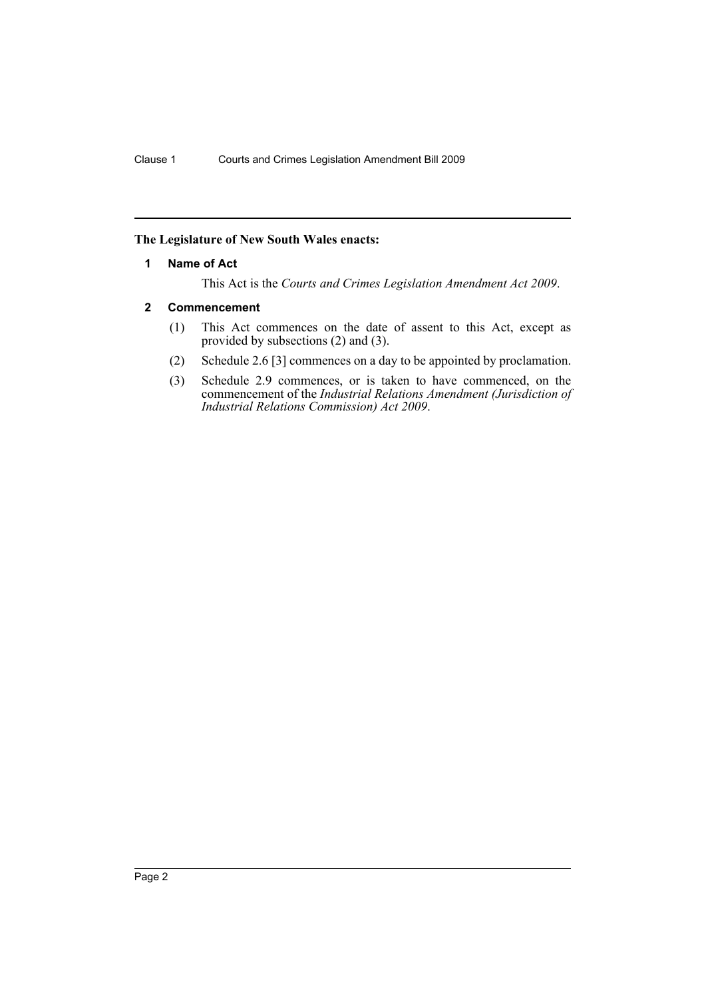## <span id="page-2-0"></span>**The Legislature of New South Wales enacts:**

#### **1 Name of Act**

This Act is the *Courts and Crimes Legislation Amendment Act 2009*.

#### <span id="page-2-1"></span>**2 Commencement**

- (1) This Act commences on the date of assent to this Act, except as provided by subsections (2) and (3).
- (2) Schedule 2.6 [3] commences on a day to be appointed by proclamation.
- (3) Schedule 2.9 commences, or is taken to have commenced, on the commencement of the *Industrial Relations Amendment (Jurisdiction of Industrial Relations Commission) Act 2009*.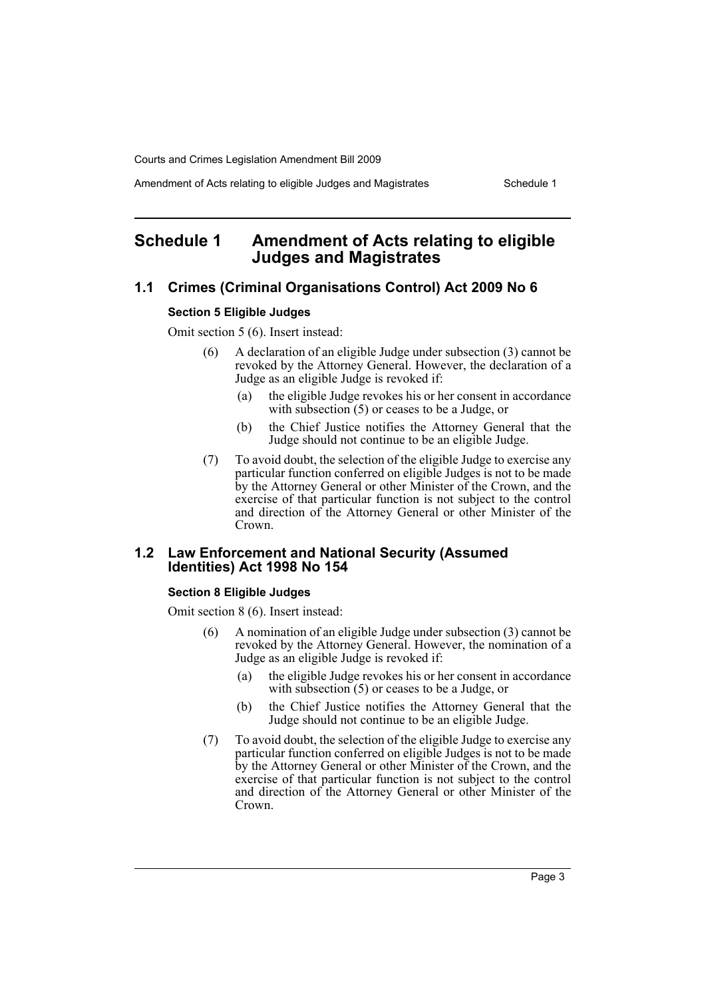Amendment of Acts relating to eligible Judges and Magistrates Schedule 1

# <span id="page-3-0"></span>**Schedule 1 Amendment of Acts relating to eligible Judges and Magistrates**

# **1.1 Crimes (Criminal Organisations Control) Act 2009 No 6**

#### **Section 5 Eligible Judges**

Omit section 5 (6). Insert instead:

- (6) A declaration of an eligible Judge under subsection (3) cannot be revoked by the Attorney General. However, the declaration of a Judge as an eligible Judge is revoked if:
	- (a) the eligible Judge revokes his or her consent in accordance with subsection (5) or ceases to be a Judge, or
	- (b) the Chief Justice notifies the Attorney General that the Judge should not continue to be an eligible Judge.
- (7) To avoid doubt, the selection of the eligible Judge to exercise any particular function conferred on eligible Judges is not to be made by the Attorney General or other Minister of the Crown, and the exercise of that particular function is not subject to the control and direction of the Attorney General or other Minister of the Crown.

# **1.2 Law Enforcement and National Security (Assumed Identities) Act 1998 No 154**

#### **Section 8 Eligible Judges**

Omit section 8 (6). Insert instead:

- (6) A nomination of an eligible Judge under subsection (3) cannot be revoked by the Attorney General. However, the nomination of a Judge as an eligible Judge is revoked if:
	- (a) the eligible Judge revokes his or her consent in accordance with subsection (5) or ceases to be a Judge, or
	- (b) the Chief Justice notifies the Attorney General that the Judge should not continue to be an eligible Judge.
- (7) To avoid doubt, the selection of the eligible Judge to exercise any particular function conferred on eligible Judges is not to be made by the Attorney General or other Minister of the Crown, and the exercise of that particular function is not subject to the control and direction of the Attorney General or other Minister of the Crown.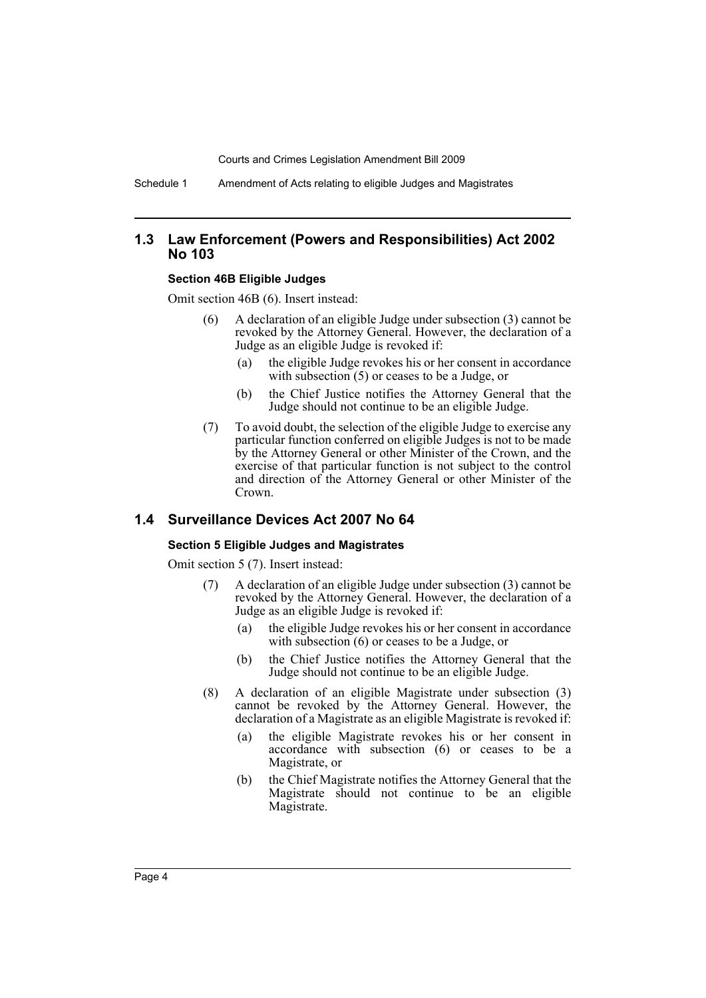Schedule 1 Amendment of Acts relating to eligible Judges and Magistrates

## **1.3 Law Enforcement (Powers and Responsibilities) Act 2002 No 103**

#### **Section 46B Eligible Judges**

Omit section 46B (6). Insert instead:

- (6) A declaration of an eligible Judge under subsection (3) cannot be revoked by the Attorney General. However, the declaration of a Judge as an eligible Judge is revoked if:
	- (a) the eligible Judge revokes his or her consent in accordance with subsection (5) or ceases to be a Judge, or
	- (b) the Chief Justice notifies the Attorney General that the Judge should not continue to be an eligible Judge.
- (7) To avoid doubt, the selection of the eligible Judge to exercise any particular function conferred on eligible Judges is not to be made by the Attorney General or other Minister of the Crown, and the exercise of that particular function is not subject to the control and direction of the Attorney General or other Minister of the Crown.

## **1.4 Surveillance Devices Act 2007 No 64**

#### **Section 5 Eligible Judges and Magistrates**

Omit section 5 (7). Insert instead:

- (7) A declaration of an eligible Judge under subsection (3) cannot be revoked by the Attorney General. However, the declaration of a Judge as an eligible Judge is revoked if:
	- (a) the eligible Judge revokes his or her consent in accordance with subsection (6) or ceases to be a Judge, or
	- (b) the Chief Justice notifies the Attorney General that the Judge should not continue to be an eligible Judge.
- (8) A declaration of an eligible Magistrate under subsection (3) cannot be revoked by the Attorney General. However, the declaration of a Magistrate as an eligible Magistrate is revoked if:
	- (a) the eligible Magistrate revokes his or her consent in accordance with subsection (6) or ceases to be a Magistrate, or
	- (b) the Chief Magistrate notifies the Attorney General that the Magistrate should not continue to be an eligible Magistrate.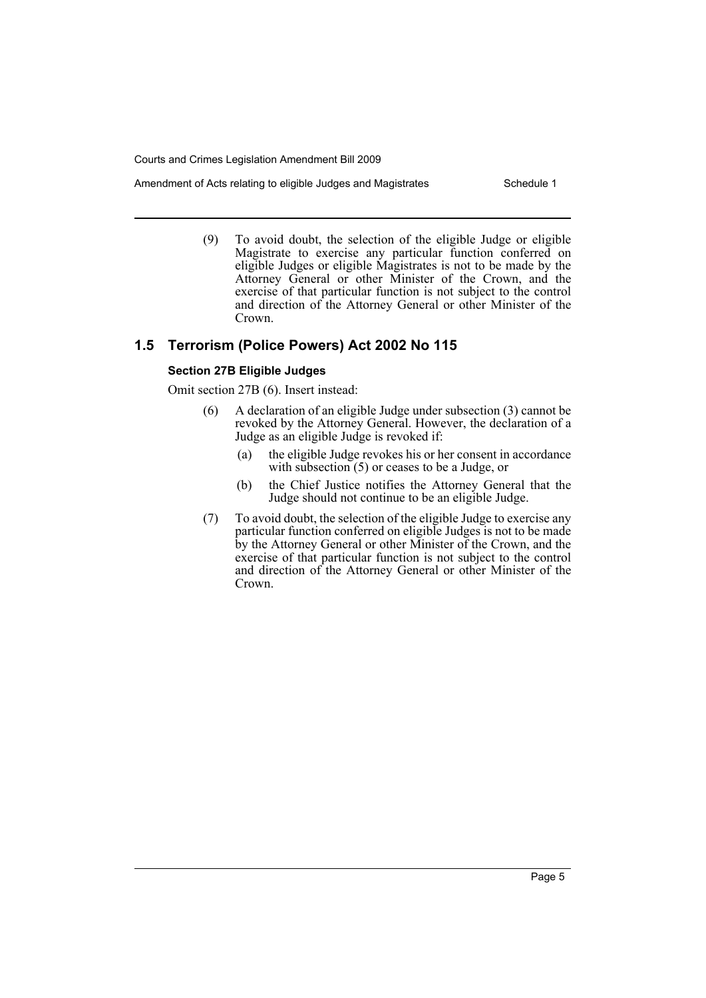- Amendment of Acts relating to eligible Judges and Magistrates Schedule 1
	- (9) To avoid doubt, the selection of the eligible Judge or eligible Magistrate to exercise any particular function conferred on eligible Judges or eligible Magistrates is not to be made by the Attorney General or other Minister of the Crown, and the exercise of that particular function is not subject to the control and direction of the Attorney General or other Minister of the Crown.

# **1.5 Terrorism (Police Powers) Act 2002 No 115**

# **Section 27B Eligible Judges**

Omit section 27B (6). Insert instead:

- (6) A declaration of an eligible Judge under subsection (3) cannot be revoked by the Attorney General. However, the declaration of a Judge as an eligible Judge is revoked if:
	- (a) the eligible Judge revokes his or her consent in accordance with subsection (5) or ceases to be a Judge, or
	- (b) the Chief Justice notifies the Attorney General that the Judge should not continue to be an eligible Judge.
- (7) To avoid doubt, the selection of the eligible Judge to exercise any particular function conferred on eligible Judges is not to be made by the Attorney General or other Minister of the Crown, and the exercise of that particular function is not subject to the control and direction of the Attorney General or other Minister of the Crown.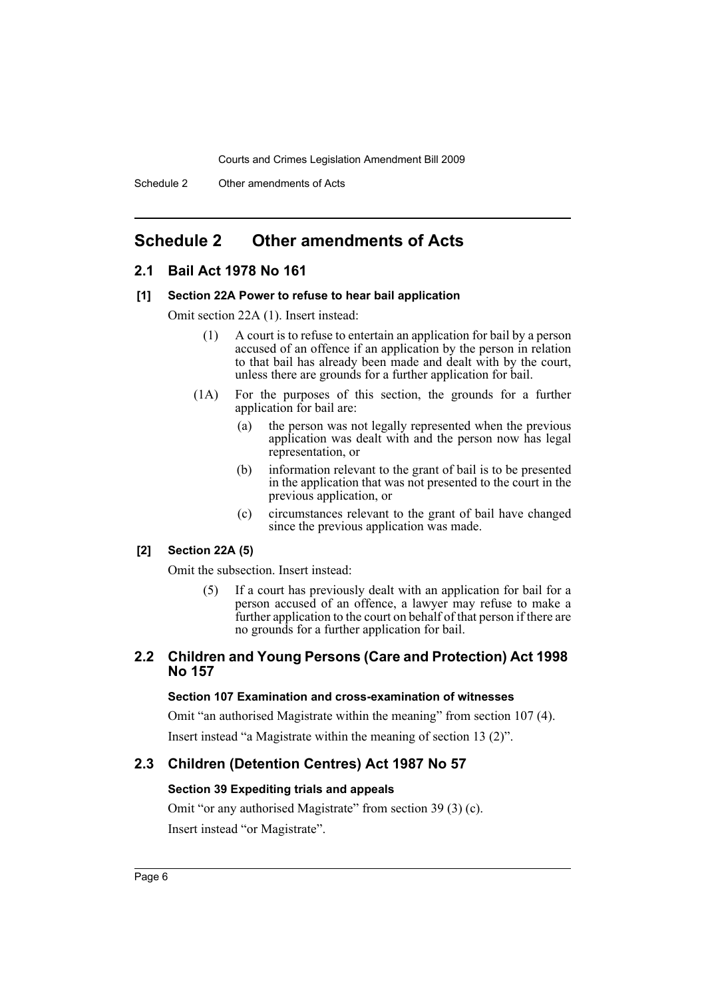# <span id="page-6-0"></span>**Schedule 2 Other amendments of Acts**

# **2.1 Bail Act 1978 No 161**

#### **[1] Section 22A Power to refuse to hear bail application**

Omit section 22A (1). Insert instead:

- (1) A court is to refuse to entertain an application for bail by a person accused of an offence if an application by the person in relation to that bail has already been made and dealt with by the court, unless there are grounds for a further application for bail.
- (1A) For the purposes of this section, the grounds for a further application for bail are:
	- (a) the person was not legally represented when the previous application was dealt with and the person now has legal representation, or
	- (b) information relevant to the grant of bail is to be presented in the application that was not presented to the court in the previous application, or
	- (c) circumstances relevant to the grant of bail have changed since the previous application was made.

## **[2] Section 22A (5)**

Omit the subsection. Insert instead:

(5) If a court has previously dealt with an application for bail for a person accused of an offence, a lawyer may refuse to make a further application to the court on behalf of that person if there are no grounds for a further application for bail.

# **2.2 Children and Young Persons (Care and Protection) Act 1998 No 157**

### **Section 107 Examination and cross-examination of witnesses**

Omit "an authorised Magistrate within the meaning" from section 107 (4). Insert instead "a Magistrate within the meaning of section 13 (2)".

## **2.3 Children (Detention Centres) Act 1987 No 57**

#### **Section 39 Expediting trials and appeals**

Omit "or any authorised Magistrate" from section 39 (3) (c). Insert instead "or Magistrate".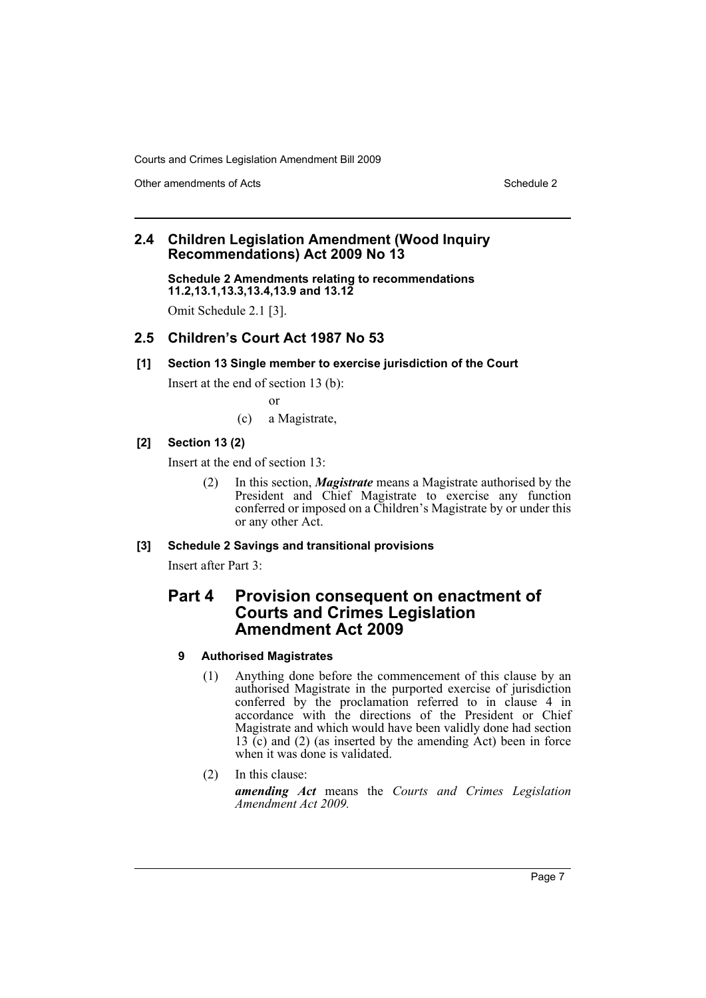Other amendments of Acts Schedule 2 and Schedule 2 and Schedule 2 and Schedule 2 and Schedule 2 and Schedule 2

# **2.4 Children Legislation Amendment (Wood Inquiry Recommendations) Act 2009 No 13**

**Schedule 2 Amendments relating to recommendations 11.2,13.1,13.3,13.4,13.9 and 13.12**

Omit Schedule 2.1 [3].

# **2.5 Children's Court Act 1987 No 53**

# **[1] Section 13 Single member to exercise jurisdiction of the Court**

Insert at the end of section 13 (b):

or

(c) a Magistrate,

# **[2] Section 13 (2)**

Insert at the end of section 13:

(2) In this section, *Magistrate* means a Magistrate authorised by the President and Chief Magistrate to exercise any function conferred or imposed on a Children's Magistrate by or under this or any other Act.

# **[3] Schedule 2 Savings and transitional provisions**

Insert after Part 3:

# **Part 4 Provision consequent on enactment of Courts and Crimes Legislation Amendment Act 2009**

# **9 Authorised Magistrates**

- (1) Anything done before the commencement of this clause by an authorised Magistrate in the purported exercise of jurisdiction conferred by the proclamation referred to in clause 4 in accordance with the directions of the President or Chief Magistrate and which would have been validly done had section 13 (c) and (2) (as inserted by the amending Act) been in force when it was done is validated.
- (2) In this clause:

*amending Act* means the *Courts and Crimes Legislation Amendment Act 2009.*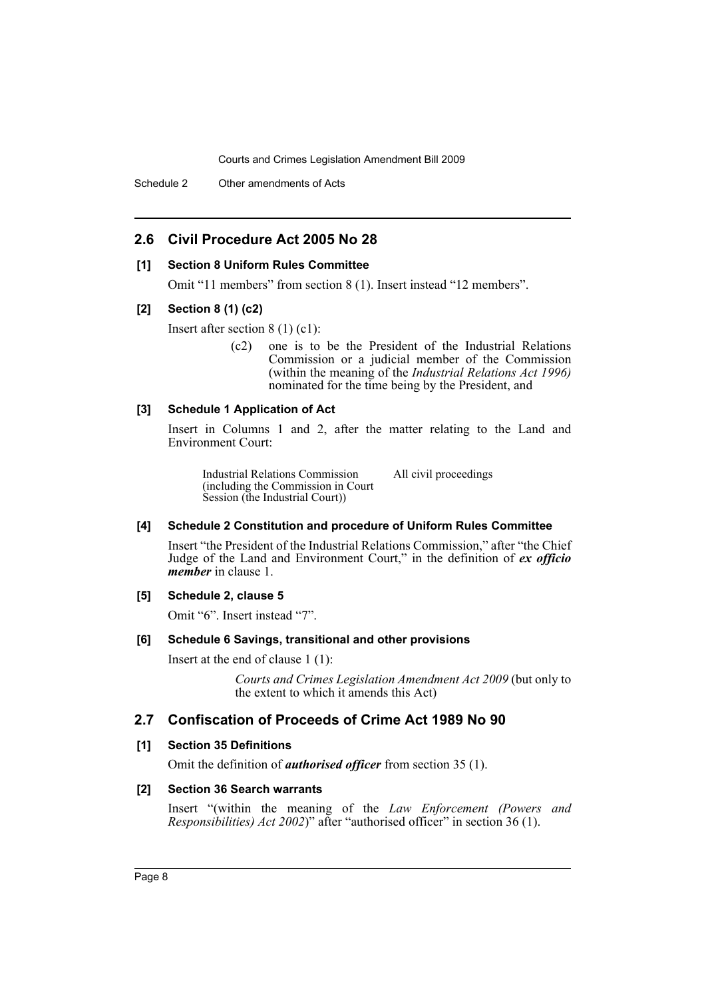Schedule 2 Other amendments of Acts

# **2.6 Civil Procedure Act 2005 No 28**

#### **[1] Section 8 Uniform Rules Committee**

Omit "11 members" from section 8 (1). Insert instead "12 members".

#### **[2] Section 8 (1) (c2)**

Insert after section 8 (1) (c1):

(c2) one is to be the President of the Industrial Relations Commission or a judicial member of the Commission (within the meaning of the *Industrial Relations Act 1996)* nominated for the time being by the President, and

### **[3] Schedule 1 Application of Act**

Insert in Columns 1 and 2, after the matter relating to the Land and Environment Court:

Industrial Relations Commission (including the Commission in Court Session (the Industrial Court)) All civil proceedings

#### **[4] Schedule 2 Constitution and procedure of Uniform Rules Committee**

Insert "the President of the Industrial Relations Commission," after "the Chief Judge of the Land and Environment Court," in the definition of *ex officio member* in clause 1.

#### **[5] Schedule 2, clause 5**

Omit "6". Insert instead "7".

#### **[6] Schedule 6 Savings, transitional and other provisions**

Insert at the end of clause 1 (1):

*Courts and Crimes Legislation Amendment Act 2009* (but only to the extent to which it amends this Act)

# **2.7 Confiscation of Proceeds of Crime Act 1989 No 90**

#### **[1] Section 35 Definitions**

Omit the definition of *authorised officer* from section 35 (1).

#### **[2] Section 36 Search warrants**

Insert "(within the meaning of the *Law Enforcement (Powers and Responsibilities) Act 2002*)" after "authorised officer" in section 36 (1).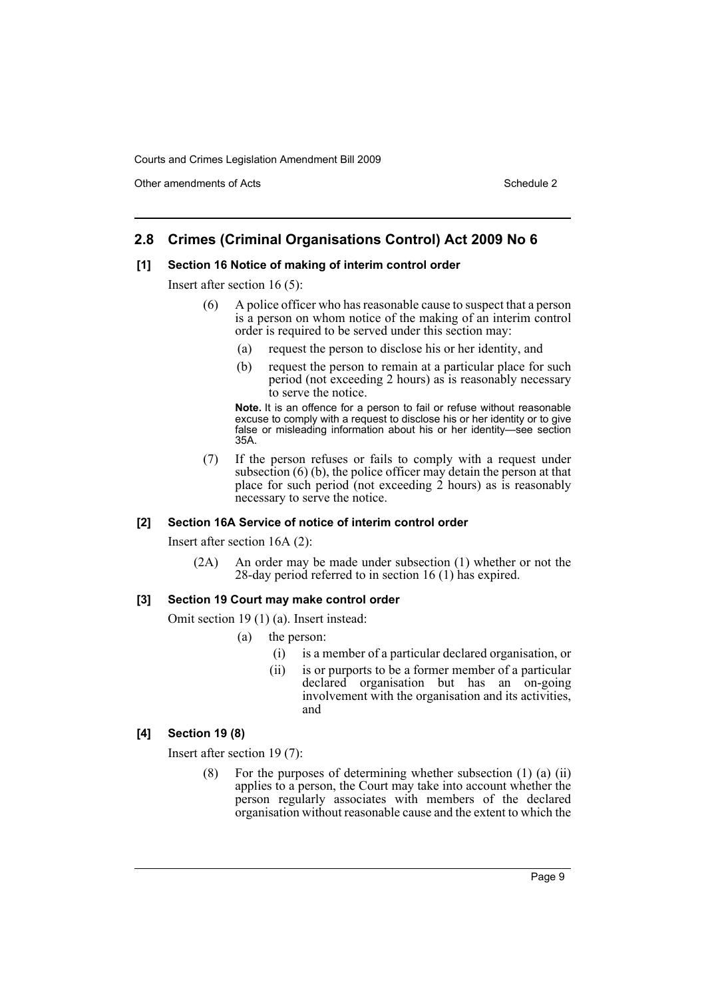Other amendments of Acts **Schedule 2** and 3 and 3 and 3 and 3 and 3 and 3 and 3 and 3 and 3 and 3 and 3 and 3 and 3 and 3 and 3 and 3 and 3 and 3 and 3 and 3 and 3 and 3 and 3 and 3 and 3 and 3 and 3 and 3 and 3 and 3 and

# **2.8 Crimes (Criminal Organisations Control) Act 2009 No 6**

#### **[1] Section 16 Notice of making of interim control order**

Insert after section 16 (5):

- (6) A police officer who has reasonable cause to suspect that a person is a person on whom notice of the making of an interim control order is required to be served under this section may:
	- (a) request the person to disclose his or her identity, and
	- (b) request the person to remain at a particular place for such period (not exceeding 2 hours) as is reasonably necessary to serve the notice.

**Note.** It is an offence for a person to fail or refuse without reasonable excuse to comply with a request to disclose his or her identity or to give false or misleading information about his or her identity—see section 35A.

(7) If the person refuses or fails to comply with a request under subsection  $(6)$  (b), the police officer may detain the person at that place for such period (not exceeding  $\tilde{2}$  hours) as is reasonably necessary to serve the notice.

#### **[2] Section 16A Service of notice of interim control order**

Insert after section 16A (2):

(2A) An order may be made under subsection (1) whether or not the 28-day period referred to in section 16 (1) has expired.

#### **[3] Section 19 Court may make control order**

Omit section 19 (1) (a). Insert instead:

- (a) the person:
	- (i) is a member of a particular declared organisation, or
	- (ii) is or purports to be a former member of a particular declared organisation but has an on-going involvement with the organisation and its activities, and

# **[4] Section 19 (8)**

Insert after section 19 (7):

(8) For the purposes of determining whether subsection (1) (a) (ii) applies to a person, the Court may take into account whether the person regularly associates with members of the declared organisation without reasonable cause and the extent to which the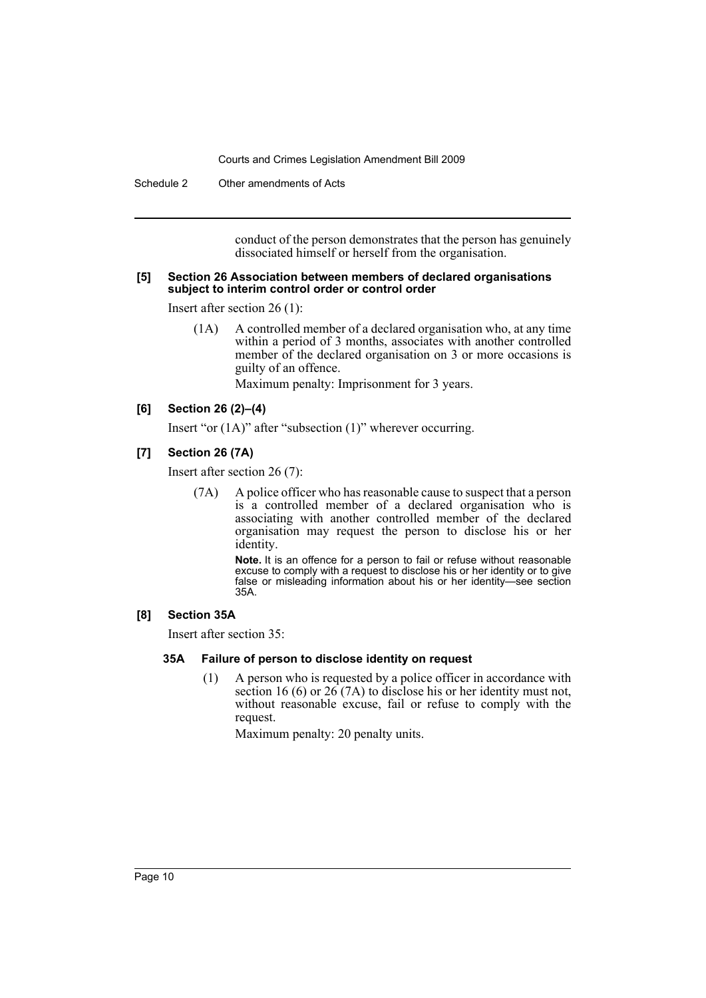Schedule 2 Other amendments of Acts

conduct of the person demonstrates that the person has genuinely dissociated himself or herself from the organisation.

#### **[5] Section 26 Association between members of declared organisations subject to interim control order or control order**

Insert after section 26 (1):

(1A) A controlled member of a declared organisation who, at any time within a period of 3 months, associates with another controlled member of the declared organisation on 3 or more occasions is guilty of an offence.

Maximum penalty: Imprisonment for 3 years.

#### **[6] Section 26 (2)–(4)**

Insert "or (1A)" after "subsection (1)" wherever occurring.

#### **[7] Section 26 (7A)**

Insert after section 26 (7):

(7A) A police officer who has reasonable cause to suspect that a person is a controlled member of a declared organisation who is associating with another controlled member of the declared organisation may request the person to disclose his or her identity.

> **Note.** It is an offence for a person to fail or refuse without reasonable excuse to comply with a request to disclose his or her identity or to give false or misleading information about his or her identity—see section 35A.

#### **[8] Section 35A**

Insert after section 35:

#### **35A Failure of person to disclose identity on request**

(1) A person who is requested by a police officer in accordance with section 16 (6) or  $26(7A)$  to disclose his or her identity must not, without reasonable excuse, fail or refuse to comply with the request.

Maximum penalty: 20 penalty units.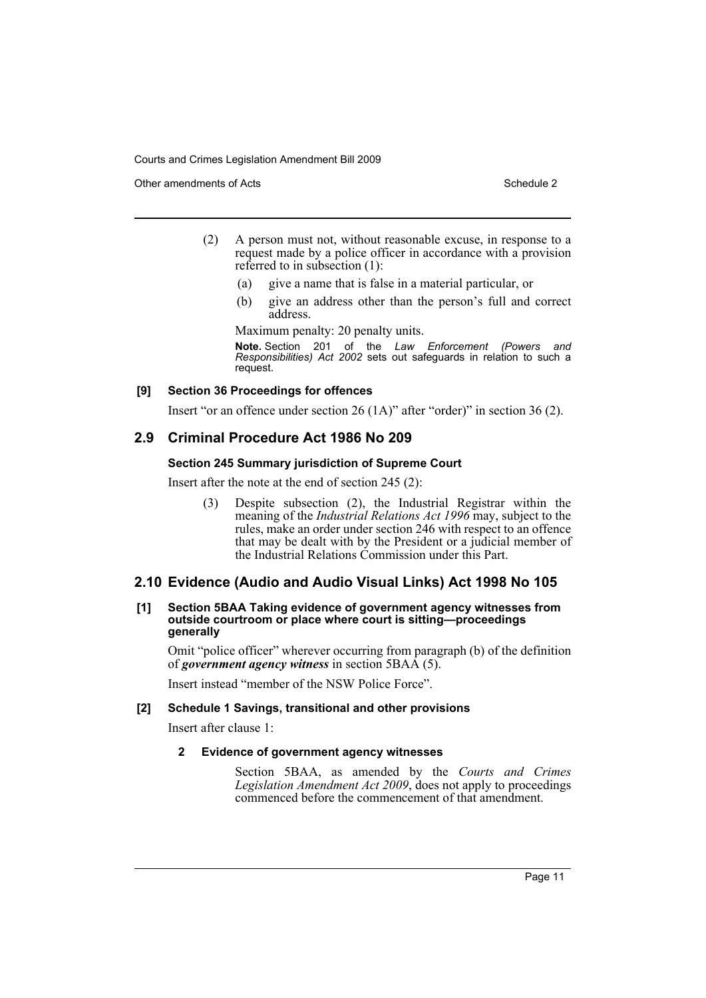Other amendments of Acts **Schedule 2** and 3 and 3 and 3 and 3 and 3 and 3 and 3 and 3 and 3 and 3 and 3 and 3 and 3 and 3 and 3 and 3 and 3 and 3 and 3 and 3 and 3 and 3 and 3 and 3 and 3 and 3 and 3 and 3 and 3 and 3 and

- (2) A person must not, without reasonable excuse, in response to a request made by a police officer in accordance with a provision referred to in subsection (1):
	- (a) give a name that is false in a material particular, or
	- (b) give an address other than the person's full and correct address.

Maximum penalty: 20 penalty units.

**Note.** Section 201 of the *Law Enforcement (Powers and Responsibilities) Act 2002* sets out safeguards in relation to such a request.

#### **[9] Section 36 Proceedings for offences**

Insert "or an offence under section 26 (1A)" after "order)" in section 36 (2).

# **2.9 Criminal Procedure Act 1986 No 209**

## **Section 245 Summary jurisdiction of Supreme Court**

Insert after the note at the end of section 245 (2):

(3) Despite subsection (2), the Industrial Registrar within the meaning of the *Industrial Relations Act 1996* may, subject to the rules, make an order under section 246 with respect to an offence that may be dealt with by the President or a judicial member of the Industrial Relations Commission under this Part.

## **2.10 Evidence (Audio and Audio Visual Links) Act 1998 No 105**

#### **[1] Section 5BAA Taking evidence of government agency witnesses from outside courtroom or place where court is sitting—proceedings generally**

Omit "police officer" wherever occurring from paragraph (b) of the definition of *government agency witness* in section 5BAA (5).

Insert instead "member of the NSW Police Force".

#### **[2] Schedule 1 Savings, transitional and other provisions**

Insert after clause 1:

#### **2 Evidence of government agency witnesses**

Section 5BAA, as amended by the *Courts and Crimes Legislation Amendment Act 2009*, does not apply to proceedings commenced before the commencement of that amendment.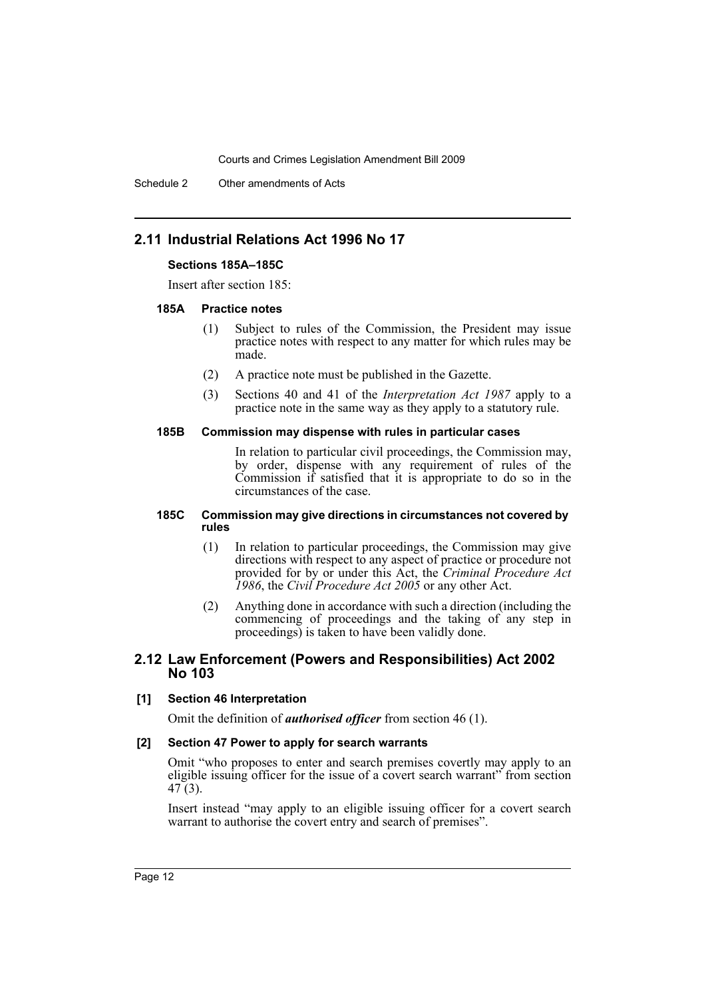Schedule 2 Other amendments of Acts

# **2.11 Industrial Relations Act 1996 No 17**

#### **Sections 185A–185C**

Insert after section 185:

#### **185A Practice notes**

- (1) Subject to rules of the Commission, the President may issue practice notes with respect to any matter for which rules may be made.
- (2) A practice note must be published in the Gazette.
- (3) Sections 40 and 41 of the *Interpretation Act 1987* apply to a practice note in the same way as they apply to a statutory rule.

#### **185B Commission may dispense with rules in particular cases**

In relation to particular civil proceedings, the Commission may, by order, dispense with any requirement of rules of the Commission if satisfied that it is appropriate to do so in the circumstances of the case.

#### **185C Commission may give directions in circumstances not covered by rules**

- (1) In relation to particular proceedings, the Commission may give directions with respect to any aspect of practice or procedure not provided for by or under this Act, the *Criminal Procedure Act 1986*, the *Civil Procedure Act 2005* or any other Act.
- (2) Anything done in accordance with such a direction (including the commencing of proceedings and the taking of any step in proceedings) is taken to have been validly done.

## **2.12 Law Enforcement (Powers and Responsibilities) Act 2002 No 103**

#### **[1] Section 46 Interpretation**

Omit the definition of *authorised officer* from section 46 (1).

#### **[2] Section 47 Power to apply for search warrants**

Omit "who proposes to enter and search premises covertly may apply to an eligible issuing officer for the issue of a covert search warrant" from section 47 (3).

Insert instead "may apply to an eligible issuing officer for a covert search warrant to authorise the covert entry and search of premises".